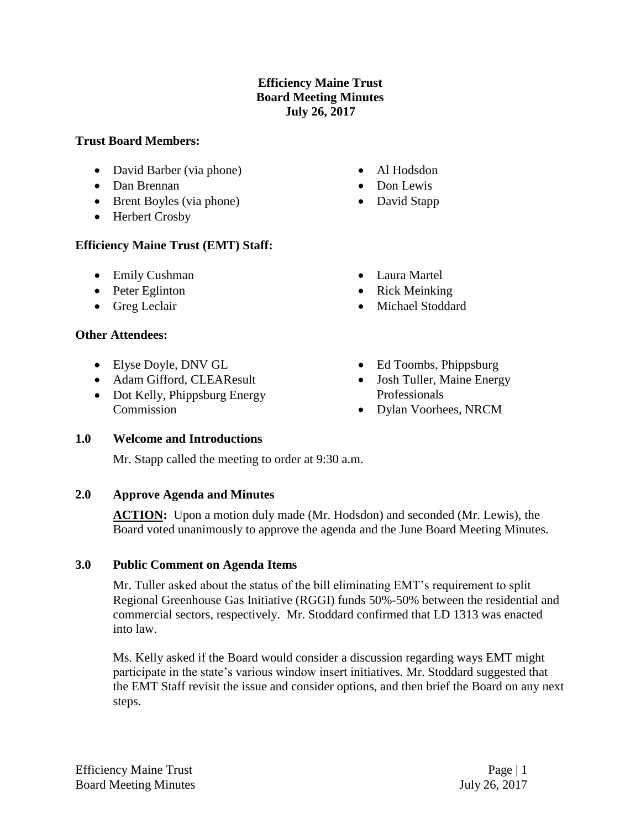## **Efficiency Maine Trust Board Meeting Minutes July 26, 2017**

#### **Trust Board Members:**

- David Barber (via phone)
- Dan Brennan
- Brent Boyles (via phone)
- Herbert Crosby

### **Efficiency Maine Trust (EMT) Staff:**

- Emily Cushman
- Peter Eglinton
- Greg Leclair

#### **Other Attendees:**

- Elyse Doyle, DNV GL
- Adam Gifford, CLEAResult
- Dot Kelly, Phippsburg Energy Commission
- Al Hodsdon
- Don Lewis
- David Stapp
- Laura Martel
- Rick Meinking
- Michael Stoddard
- Ed Toombs, Phippsburg
- Josh Tuller, Maine Energy Professionals
- Dylan Voorhees, NRCM

### **1.0 Welcome and Introductions**

Mr. Stapp called the meeting to order at 9:30 a.m.

### **2.0 Approve Agenda and Minutes**

ACTION: Upon a motion duly made (Mr. Hodsdon) and seconded (Mr. Lewis), the Board voted unanimously to approve the agenda and the June Board Meeting Minutes.

### **3.0 Public Comment on Agenda Items**

Mr. Tuller asked about the status of the bill eliminating EMT's requirement to split Regional Greenhouse Gas Initiative (RGGI) funds 50%-50% between the residential and commercial sectors, respectively. Mr. Stoddard confirmed that LD 1313 was enacted into law.

Ms. Kelly asked if the Board would consider a discussion regarding ways EMT might participate in the state's various window insert initiatives. Mr. Stoddard suggested that the EMT Staff revisit the issue and consider options, and then brief the Board on any next steps.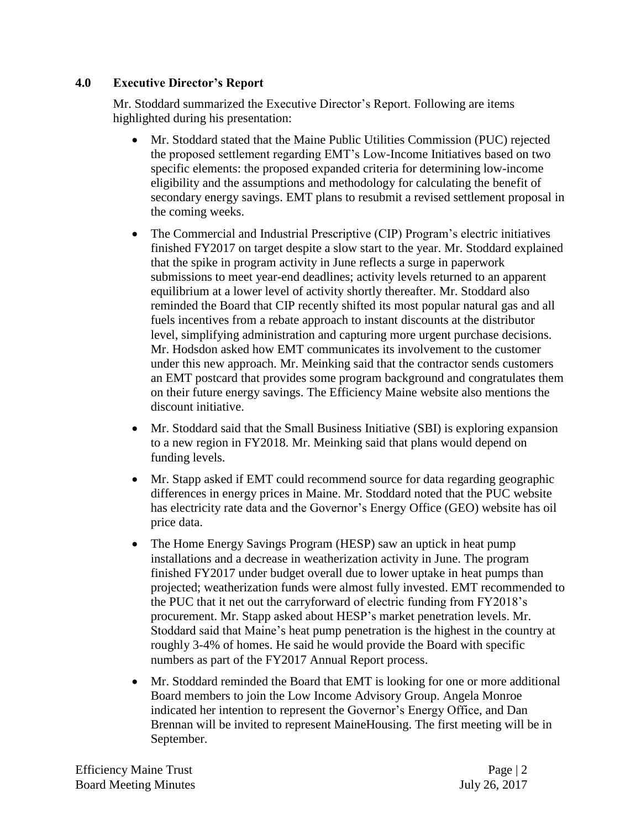# **4.0 Executive Director's Report**

Mr. Stoddard summarized the Executive Director's Report. Following are items highlighted during his presentation:

- Mr. Stoddard stated that the Maine Public Utilities Commission (PUC) rejected the proposed settlement regarding EMT's Low-Income Initiatives based on two specific elements: the proposed expanded criteria for determining low-income eligibility and the assumptions and methodology for calculating the benefit of secondary energy savings. EMT plans to resubmit a revised settlement proposal in the coming weeks.
- The Commercial and Industrial Prescriptive (CIP) Program's electric initiatives finished FY2017 on target despite a slow start to the year. Mr. Stoddard explained that the spike in program activity in June reflects a surge in paperwork submissions to meet year-end deadlines; activity levels returned to an apparent equilibrium at a lower level of activity shortly thereafter. Mr. Stoddard also reminded the Board that CIP recently shifted its most popular natural gas and all fuels incentives from a rebate approach to instant discounts at the distributor level, simplifying administration and capturing more urgent purchase decisions. Mr. Hodsdon asked how EMT communicates its involvement to the customer under this new approach. Mr. Meinking said that the contractor sends customers an EMT postcard that provides some program background and congratulates them on their future energy savings. The Efficiency Maine website also mentions the discount initiative.
- Mr. Stoddard said that the Small Business Initiative (SBI) is exploring expansion to a new region in FY2018. Mr. Meinking said that plans would depend on funding levels.
- Mr. Stapp asked if EMT could recommend source for data regarding geographic differences in energy prices in Maine. Mr. Stoddard noted that the PUC website has electricity rate data and the Governor's Energy Office (GEO) website has oil price data.
- The Home Energy Savings Program (HESP) saw an uptick in heat pump installations and a decrease in weatherization activity in June. The program finished FY2017 under budget overall due to lower uptake in heat pumps than projected; weatherization funds were almost fully invested. EMT recommended to the PUC that it net out the carryforward of electric funding from FY2018's procurement. Mr. Stapp asked about HESP's market penetration levels. Mr. Stoddard said that Maine's heat pump penetration is the highest in the country at roughly 3-4% of homes. He said he would provide the Board with specific numbers as part of the FY2017 Annual Report process.
- Mr. Stoddard reminded the Board that EMT is looking for one or more additional Board members to join the Low Income Advisory Group. Angela Monroe indicated her intention to represent the Governor's Energy Office, and Dan Brennan will be invited to represent MaineHousing. The first meeting will be in September.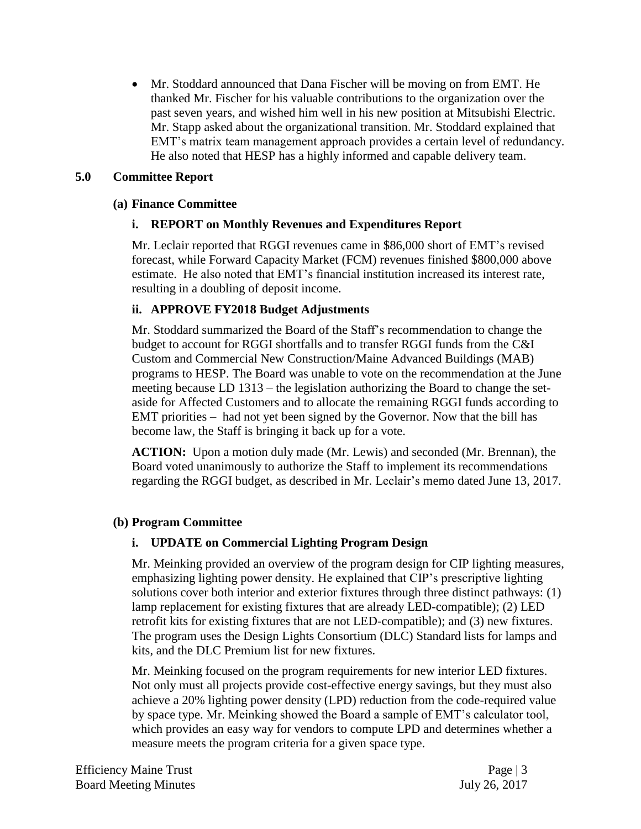• Mr. Stoddard announced that Dana Fischer will be moving on from EMT. He thanked Mr. Fischer for his valuable contributions to the organization over the past seven years, and wished him well in his new position at Mitsubishi Electric. Mr. Stapp asked about the organizational transition. Mr. Stoddard explained that EMT's matrix team management approach provides a certain level of redundancy. He also noted that HESP has a highly informed and capable delivery team.

## **5.0 Committee Report**

### **(a) Finance Committee**

# **i. REPORT on Monthly Revenues and Expenditures Report**

Mr. Leclair reported that RGGI revenues came in \$86,000 short of EMT's revised forecast, while Forward Capacity Market (FCM) revenues finished \$800,000 above estimate. He also noted that EMT's financial institution increased its interest rate, resulting in a doubling of deposit income.

# **ii. APPROVE FY2018 Budget Adjustments**

Mr. Stoddard summarized the Board of the Staff's recommendation to change the budget to account for RGGI shortfalls and to transfer RGGI funds from the C&I Custom and Commercial New Construction/Maine Advanced Buildings (MAB) programs to HESP. The Board was unable to vote on the recommendation at the June meeting because LD 1313 – the legislation authorizing the Board to change the setaside for Affected Customers and to allocate the remaining RGGI funds according to EMT priorities – had not yet been signed by the Governor. Now that the bill has become law, the Staff is bringing it back up for a vote.

**ACTION:** Upon a motion duly made (Mr. Lewis) and seconded (Mr. Brennan), the Board voted unanimously to authorize the Staff to implement its recommendations regarding the RGGI budget, as described in Mr. Leclair's memo dated June 13, 2017.

### **(b) Program Committee**

# **i. UPDATE on Commercial Lighting Program Design**

Mr. Meinking provided an overview of the program design for CIP lighting measures, emphasizing lighting power density. He explained that CIP's prescriptive lighting solutions cover both interior and exterior fixtures through three distinct pathways: (1) lamp replacement for existing fixtures that are already LED-compatible); (2) LED retrofit kits for existing fixtures that are not LED-compatible); and (3) new fixtures. The program uses the Design Lights Consortium (DLC) Standard lists for lamps and kits, and the DLC Premium list for new fixtures.

Mr. Meinking focused on the program requirements for new interior LED fixtures. Not only must all projects provide cost-effective energy savings, but they must also achieve a 20% lighting power density (LPD) reduction from the code-required value by space type. Mr. Meinking showed the Board a sample of EMT's calculator tool, which provides an easy way for vendors to compute LPD and determines whether a measure meets the program criteria for a given space type.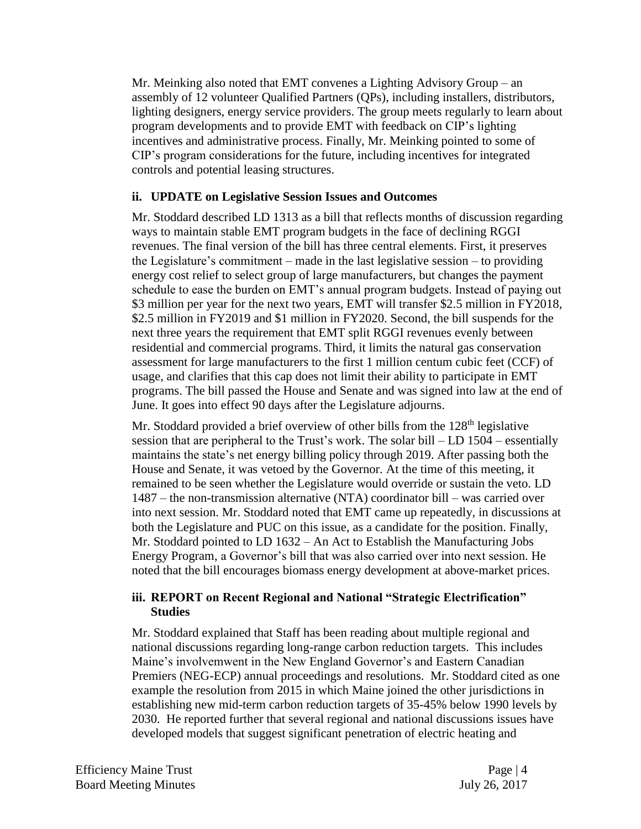Mr. Meinking also noted that EMT convenes a Lighting Advisory Group – an assembly of 12 volunteer Qualified Partners (QPs), including installers, distributors, lighting designers, energy service providers. The group meets regularly to learn about program developments and to provide EMT with feedback on CIP's lighting incentives and administrative process. Finally, Mr. Meinking pointed to some of CIP's program considerations for the future, including incentives for integrated controls and potential leasing structures.

### **ii. UPDATE on Legislative Session Issues and Outcomes**

Mr. Stoddard described LD 1313 as a bill that reflects months of discussion regarding ways to maintain stable EMT program budgets in the face of declining RGGI revenues. The final version of the bill has three central elements. First, it preserves the Legislature's commitment – made in the last legislative session – to providing energy cost relief to select group of large manufacturers, but changes the payment schedule to ease the burden on EMT's annual program budgets. Instead of paying out \$3 million per year for the next two years, EMT will transfer \$2.5 million in FY2018, \$2.5 million in FY2019 and \$1 million in FY2020. Second, the bill suspends for the next three years the requirement that EMT split RGGI revenues evenly between residential and commercial programs. Third, it limits the natural gas conservation assessment for large manufacturers to the first 1 million centum cubic feet (CCF) of usage, and clarifies that this cap does not limit their ability to participate in EMT programs. The bill passed the House and Senate and was signed into law at the end of June. It goes into effect 90 days after the Legislature adjourns.

Mr. Stoddard provided a brief overview of other bills from the 128<sup>th</sup> legislative session that are peripheral to the Trust's work. The solar bill – LD 1504 – essentially maintains the state's net energy billing policy through 2019. After passing both the House and Senate, it was vetoed by the Governor. At the time of this meeting, it remained to be seen whether the Legislature would override or sustain the veto. LD 1487 – the non-transmission alternative (NTA) coordinator bill – was carried over into next session. Mr. Stoddard noted that EMT came up repeatedly, in discussions at both the Legislature and PUC on this issue, as a candidate for the position. Finally, Mr. Stoddard pointed to LD 1632 – An Act to Establish the Manufacturing Jobs Energy Program, a Governor's bill that was also carried over into next session. He noted that the bill encourages biomass energy development at above-market prices.

### **iii. REPORT on Recent Regional and National "Strategic Electrification" Studies**

Mr. Stoddard explained that Staff has been reading about multiple regional and national discussions regarding long-range carbon reduction targets. This includes Maine's involvemwent in the New England Governor's and Eastern Canadian Premiers (NEG-ECP) annual proceedings and resolutions. Mr. Stoddard cited as one example the resolution from 2015 in which Maine joined the other jurisdictions in establishing new mid-term carbon reduction targets of 35-45% below 1990 levels by 2030. He reported further that several regional and national discussions issues have developed models that suggest significant penetration of electric heating and